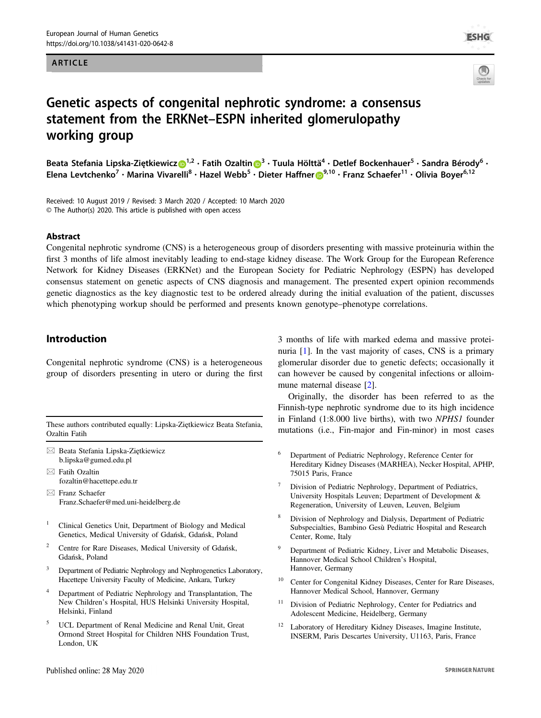#### ARTICLE



**ESHG** 

# Genetic aspects of congenital nephrotic syndrome: a consensus statement from the ERKNet–ESPN inherited glomerulopathy working group

Beata Stefania Lipska-Ziętkiewic[z](http://orcid.org/0000-0002-4169-9685) $\odot^{1,2} \cdot$  $\odot^{1,2} \cdot$  $\odot^{1,2} \cdot$  Fatih Ozaltin $\odot^3 \cdot$  $\odot^3 \cdot$  $\odot^3 \cdot$  Tuula Hölttä $^4 \cdot$  Detlef Bockenhauer $^5 \cdot$  Sandra Bérody $^6 \cdot$ Elena Levtchenko<sup>7</sup> • Ma[r](http://orcid.org/0000-0002-9601-7813)ina Vivarelli<sup>8</sup> • Hazel Webb<sup>5</sup> • Dieter Haffner D<sup>[9](http://orcid.org/0000-0002-9601-7813),10</sup> • Franz Schaefer<sup>11</sup> • Olivia Bover<sup>6,12</sup>

Received: 10 August 2019 / Revised: 3 March 2020 / Accepted: 10 March 2020 © The Author(s) 2020. This article is published with open access

#### Abstract

Congenital nephrotic syndrome (CNS) is a heterogeneous group of disorders presenting with massive proteinuria within the first 3 months of life almost inevitably leading to end-stage kidney disease. The Work Group for the European Reference Network for Kidney Diseases (ERKNet) and the European Society for Pediatric Nephrology (ESPN) has developed consensus statement on genetic aspects of CNS diagnosis and management. The presented expert opinion recommends genetic diagnostics as the key diagnostic test to be ordered already during the initial evaluation of the patient, discusses which phenotyping workup should be performed and presents known genotype–phenotype correlations.

# Introduction

Congenital nephrotic syndrome (CNS) is a heterogeneous group of disorders presenting in utero or during the first

Ozaltin Fatih

- $\boxtimes$  Beata Stefania Lipska-Ziętkiewicz [b.lipska@gumed.edu.pl](mailto:b.lipska@gumed.edu.pl)
- $\boxtimes$  Fatih Ozaltin [fozaltin@hacettepe.edu.tr](mailto:fozaltin@hacettepe.edu.tr)
- $\boxtimes$  Franz Schaefer [Franz.Schaefer@med.uni-heidelberg.de](mailto:Franz.Schaefer@med.uni-heidelberg.de)
- <sup>1</sup> Clinical Genetics Unit, Department of Biology and Medical Genetics, Medical University of Gdańsk, Gdańsk, Poland
- <sup>2</sup> Centre for Rare Diseases, Medical University of Gdańsk, Gdańsk, Poland
- Department of Pediatric Nephrology and Nephrogenetics Laboratory, Hacettepe University Faculty of Medicine, Ankara, Turkey
- <sup>4</sup> Department of Pediatric Nephrology and Transplantation, The New Children's Hospital, HUS Helsinki University Hospital, Helsinki, Finland
- <sup>5</sup> UCL Department of Renal Medicine and Renal Unit, Great Ormond Street Hospital for Children NHS Foundation Trust, London, UK

3 months of life with marked edema and massive proteinuria [\[1](#page-8-0)]. In the vast majority of cases, CNS is a primary glomerular disorder due to genetic defects; occasionally it can however be caused by congenital infections or alloimmune maternal disease [\[2](#page-9-0)].

Originally, the disorder has been referred to as the Finnish-type nephrotic syndrome due to its high incidence in Finland (1:8.000 live births), with two NPHS1 founder mutations (i.e., Fin-major and Fin-minor) in most cases<br>Ozoltin Eath Riska-Ziętkiewicz Beata Stefania,<br>mutations (i.e., Fin-major and Fin-minor) in most cases

- <sup>6</sup> Department of Pediatric Nephrology, Reference Center for Hereditary Kidney Diseases (MARHEA), Necker Hospital, APHP, 75015 Paris, France
- Division of Pediatric Nephrology, Department of Pediatrics, University Hospitals Leuven; Department of Development & Regeneration, University of Leuven, Leuven, Belgium
- <sup>8</sup> Division of Nephrology and Dialysis, Department of Pediatric Subspecialties, Bambino Gesù Pediatric Hospital and Research Center, Rome, Italy
- Department of Pediatric Kidney, Liver and Metabolic Diseases, Hannover Medical School Children's Hospital, Hannover, Germany
- <sup>10</sup> Center for Congenital Kidney Diseases, Center for Rare Diseases, Hannover Medical School, Hannover, Germany
- <sup>11</sup> Division of Pediatric Nephrology, Center for Pediatrics and Adolescent Medicine, Heidelberg, Germany
- <sup>12</sup> Laboratory of Hereditary Kidney Diseases, Imagine Institute, INSERM, Paris Descartes University, U1163, Paris, France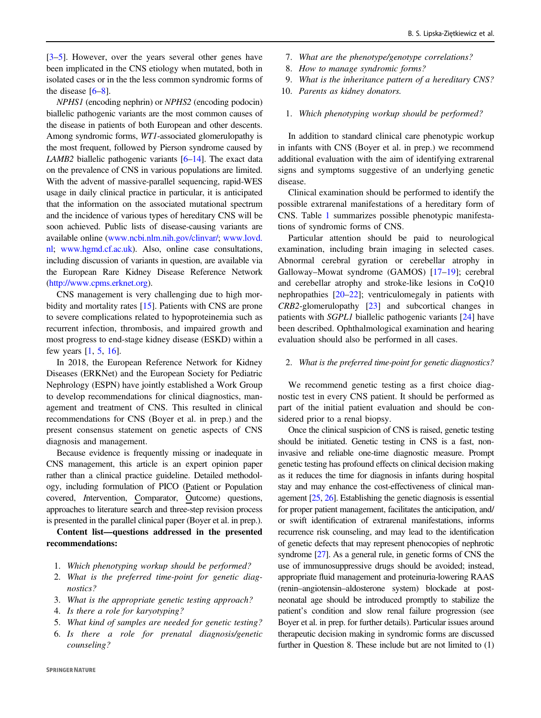[\[3](#page-9-0)–[5](#page-9-0)]. However, over the years several other genes have been implicated in the CNS etiology when mutated, both in isolated cases or in the the less common syndromic forms of the disease [\[6](#page-9-0)–[8](#page-9-0)].

NPHS1 (encoding nephrin) or NPHS2 (encoding podocin) biallelic pathogenic variants are the most common causes of the disease in patients of both European and other descents. Among syndromic forms, WT1-associated glomerulopathy is the most frequent, followed by Pierson syndrome caused by LAMB2 biallelic pathogenic variants [\[6](#page-9-0)–[14](#page-9-0)]. The exact data on the prevalence of CNS in various populations are limited. With the advent of massive-parallel sequencing, rapid-WES usage in daily clinical practice in particular, it is anticipated that the information on the associated mutational spectrum and the incidence of various types of hereditary CNS will be soon achieved. Public lists of disease-causing variants are available online [\(www.ncbi.nlm.nih.gov/clinvar/](http://www.ncbi.nlm.nih.gov/clinvar/); [www.lovd.](http://www.lovd.nl) [nl;](http://www.lovd.nl) [www.hgmd.cf.ac.uk\)](http://www.hgmd.cf.ac.uk). Also, online case consultations, including discussion of variants in question, are available via the European Rare Kidney Disease Reference Network [\(http://www.cpms.erknet.org\)](http://www.cpms.erknet.org).

CNS management is very challenging due to high mor-bidity and mortality rates [\[15](#page-9-0)]. Patients with CNS are prone to severe complications related to hypoproteinemia such as recurrent infection, thrombosis, and impaired growth and most progress to end-stage kidney disease (ESKD) within a few years [\[1](#page-8-0), [5](#page-9-0), [16](#page-9-0)].

In 2018, the European Reference Network for Kidney Diseases (ERKNet) and the European Society for Pediatric Nephrology (ESPN) have jointly established a Work Group to develop recommendations for clinical diagnostics, management and treatment of CNS. This resulted in clinical recommendations for CNS (Boyer et al. in prep.) and the present consensus statement on genetic aspects of CNS diagnosis and management.

Because evidence is frequently missing or inadequate in CNS management, this article is an expert opinion paper rather than a clinical practice guideline. Detailed methodology, including formulation of PICO (Patient or Population covered, Intervention, Comparator, Outcome) questions, approaches to literature search and three-step revision process is presented in the parallel clinical paper (Boyer et al. in prep.).

Content list—questions addressed in the presented recommendations:

- 1. Which phenotyping workup should be performed?
- 2. What is the preferred time-point for genetic diagnostics?
- 3. What is the appropriate genetic testing approach?
- 4. Is there a role for karyotyping?
- 5. What kind of samples are needed for genetic testing?
- 6. Is there a role for prenatal diagnosis/genetic counseling?
- 7. What are the phenotype/genotype correlations?
- 8. How to manage syndromic forms?
- 9. What is the inheritance pattern of a hereditary CNS?
- 10. Parents as kidney donators.

#### 1. Which phenotyping workup should be performed?

In addition to standard clinical care phenotypic workup in infants with CNS (Boyer et al. in prep.) we recommend additional evaluation with the aim of identifying extrarenal signs and symptoms suggestive of an underlying genetic disease.

Clinical examination should be performed to identify the possible extrarenal manifestations of a hereditary form of CNS. Table [1](#page-2-0) summarizes possible phenotypic manifestations of syndromic forms of CNS.

Particular attention should be paid to neurological examination, including brain imaging in selected cases. Abnormal cerebral gyration or cerebellar atrophy in Galloway–Mowat syndrome (GAMOS) [[17](#page-9-0)–[19\]](#page-9-0); cerebral and cerebellar atrophy and stroke-like lesions in CoQ10 nephropathies [[20](#page-9-0)–[22\]](#page-9-0); ventriculomegaly in patients with CRB2-glomerulopathy [[23\]](#page-9-0) and subcortical changes in patients with SGPL1 biallelic pathogenic variants [\[24](#page-9-0)] have been described. Ophthalmological examination and hearing evaluation should also be performed in all cases.

#### 2. What is the preferred time-point for genetic diagnostics?

We recommend genetic testing as a first choice diagnostic test in every CNS patient. It should be performed as part of the initial patient evaluation and should be considered prior to a renal biopsy.

Once the clinical suspicion of CNS is raised, genetic testing should be initiated. Genetic testing in CNS is a fast, noninvasive and reliable one-time diagnostic measure. Prompt genetic testing has profound effects on clinical decision making as it reduces the time for diagnosis in infants during hospital stay and may enhance the cost-effectiveness of clinical management [\[25,](#page-9-0) [26](#page-9-0)]. Establishing the genetic diagnosis is essential for proper patient management, facilitates the anticipation, and/ or swift identification of extrarenal manifestations, informs recurrence risk counseling, and may lead to the identification of genetic defects that may represent phenocopies of nephrotic syndrome [\[27\]](#page-9-0). As a general rule, in genetic forms of CNS the use of immunosuppressive drugs should be avoided; instead, appropriate fluid management and proteinuria-lowering RAAS (renin–angiotensin–aldosterone system) blockade at postneonatal age should be introduced promptly to stabilize the patient's condition and slow renal failure progression (see Boyer et al. in prep. for further details). Particular issues around therapeutic decision making in syndromic forms are discussed further in Question 8. These include but are not limited to (1)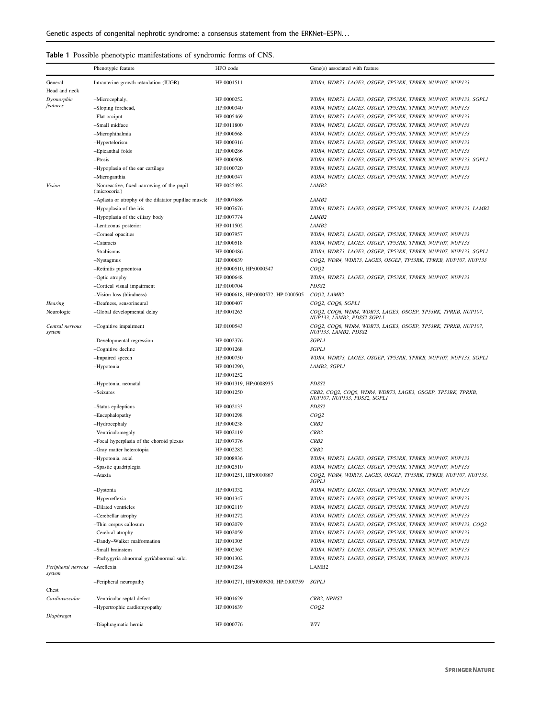# <span id="page-2-0"></span>Table 1 Possible phenotypic manifestations of syndromic forms of CNS.

|                               | Phenotypic feature                                           | HPO code                           | Gene(s) associated with feature                                                                                      |
|-------------------------------|--------------------------------------------------------------|------------------------------------|----------------------------------------------------------------------------------------------------------------------|
| General                       | Intrauterine growth retardation (IUGR)                       | HP:0001511                         | WDR4, WDR73, LAGE3, OSGEP, TP53RK, TPRKB, NUP107, NUP133                                                             |
| Head and neck                 |                                                              |                                    |                                                                                                                      |
| Dysmorphic                    | -Microcephaly,                                               | HP:0000252                         | WDR4, WDR73, LAGE3, OSGEP, TP53RK, TPRKB, NUP107, NUP133, SGPL1                                                      |
| features                      | -Sloping forehead,                                           | HP:0000340                         | WDR4, WDR73, LAGE3, OSGEP, TP53RK, TPRKB, NUP107, NUP133                                                             |
|                               | -Flat occiput                                                | HP:0005469                         | WDR4, WDR73, LAGE3, OSGEP, TP53RK, TPRKB, NUP107, NUP133                                                             |
|                               | -Small midface                                               | HP:0011800                         | WDR4, WDR73, LAGE3, OSGEP, TP53RK, TPRKB, NUP107, NUP133                                                             |
|                               | -Microphthalmia                                              | HP:0000568                         | WDR4, WDR73, LAGE3, OSGEP, TP53RK, TPRKB, NUP107, NUP133                                                             |
|                               | -Hypertelorism                                               | HP:0000316                         | WDR4, WDR73, LAGE3, OSGEP, TP53RK, TPRKB, NUP107, NUP133                                                             |
|                               | -Epicanthal folds                                            | HP:0000286                         | WDR4, WDR73, LAGE3, OSGEP, TP53RK, TPRKB, NUP107, NUP133                                                             |
|                               | $-$ Ptosis                                                   | HP:0000508                         | WDR4, WDR73, LAGE3, OSGEP, TP53RK, TPRKB, NUP107, NUP133, SGPL1                                                      |
|                               | -Hypoplasia of the ear cartilage                             | HP:0100720                         | WDR4, WDR73, LAGE3, OSGEP, TP53RK, TPRKB, NUP107, NUP133                                                             |
|                               | -Microganthia                                                | HP:0000347                         | WDR4, WDR73, LAGE3, OSGEP, TP53RK, TPRKB, NUP107, NUP133                                                             |
| Vision                        | -Nonreactive, fixed narrowing of the pupil<br>('microcoria') | HP:0025492                         | LAMB <sub>2</sub>                                                                                                    |
|                               | -Aplasia or atrophy of the dilatator pupillae muscle         | HP:0007686<br>HP:0007676           | LAMB <sub>2</sub>                                                                                                    |
|                               | -Hypoplasia of the iris<br>-Hypoplasia of the ciliary body   | HP:0007774                         | WDR4, WDR73, LAGE3, OSGEP, TP53RK, TPRKB, NUP107, NUP133, LAMB2<br>LAMB <sub>2</sub>                                 |
|                               | -Lenticonus posterior                                        | HP:0011502                         | LAMB <sub>2</sub>                                                                                                    |
|                               | -Corneal opacities                                           | HP:0007957                         | WDR4, WDR73, LAGE3, OSGEP, TP53RK, TPRKB, NUP107, NUP133                                                             |
|                               | $-Catarcts$                                                  | HP:0000518                         | WDR4, WDR73, LAGE3, OSGEP, TP53RK, TPRKB, NUP107, NUP133                                                             |
|                               | -Strabismus                                                  | HP:0000486                         | WDR4, WDR73, LAGE3, OSGEP, TP53RK, TPRKB, NUP107, NUP133, SGPL1                                                      |
|                               | $-Ny$ stagmus                                                | HP:0000639                         | COO2, WDR4, WDR73, LAGE3, OSGEP, TP53RK, TPRKB, NUP107, NUP133                                                       |
|                               | -Retinitis pigmentosa                                        | HP:0000510, HP:0000547             | COQ2                                                                                                                 |
|                               | -Optic atrophy                                               | HP:0000648                         | WDR4, WDR73, LAGE3, OSGEP, TP53RK, TPRKB, NUP107, NUP133                                                             |
|                               | -Cortical visual impairment                                  | HP:0100704                         | PDSS2                                                                                                                |
|                               | -Vision loss (blindness)                                     | HP:0000618, HP:0000572, HP:0000505 | COQ2, LAMB2                                                                                                          |
| <b>Hearing</b>                | -Deafness, sensorineural                                     | HP:0000407                         | COQ2, COQ6, SGPLI                                                                                                    |
| Neurologic                    | -Global developmental delay                                  | HP:0001263                         | COQ2, COQ6, WDR4, WDR73, LAGE3, OSGEP, TP53RK, TPRKB, NUP107,<br>NUP133, LAMB2, PDSS2 SGPL1                          |
| Central nervous<br>system     | -Cognitive impairment                                        | HP:0100543                         | COQ2, COQ6, WDR4, WDR73, LAGE3, OSGEP, TP53RK, TPRKB, NUP107,<br>NUP133, LAMB2, PDSS2                                |
|                               | -Developmental regression                                    | HP:0002376                         | <b>SGPLI</b>                                                                                                         |
|                               | -Cognitive decline                                           | HP:0001268                         | <b>SGPLI</b>                                                                                                         |
|                               | -Impaired speech                                             | HP:0000750                         | WDR4, WDR73, LAGE3, OSGEP, TP53RK, TPRKB, NUP107, NUP133, SGPL1                                                      |
|                               | -Hypotonia                                                   | HP:0001290,<br>HP:0001252          | LAMB2, SGPL1                                                                                                         |
|                               | -Hypotonia, neonatal                                         | HP:0001319, HP:0008935             | PDSS2                                                                                                                |
|                               | -Seizures                                                    | HP:0001250                         | CRB2, COQ2, COQ6, WDR4, WDR73, LAGE3, OSGEP, TP53RK, TPRKB,                                                          |
|                               |                                                              |                                    | NUP107, NUP133, PDSS2, SGPL1                                                                                         |
|                               | -Status epilepticus                                          | HP:0002133                         | PDSS2                                                                                                                |
|                               | -Encephalopathy                                              | HP:0001298                         | COQ2                                                                                                                 |
|                               | -Hydrocephaly                                                | HP:0000238                         | CRB <sub>2</sub>                                                                                                     |
|                               | -Ventriculomegaly                                            | HP:0002119                         | CRB <sub>2</sub>                                                                                                     |
|                               | -Focal hyperplasia of the choroid plexus                     | HP:0007376                         | CRB <sub>2</sub>                                                                                                     |
|                               | -Gray matter heterotopia                                     | HP:0002282                         | CRB <sub>2</sub>                                                                                                     |
|                               | -Hypotonia, axial                                            | HP:0008936                         | WDR4, WDR73, LAGE3, OSGEP, TP53RK, TPRKB, NUP107, NUP133                                                             |
|                               | -Spastic quadriplegia                                        | HP:0002510                         | WDR4, WDR73, LAGE3, OSGEP, TP53RK, TPRKB, NUP107, NUP133                                                             |
|                               | -Ataxia<br>-Dystonia                                         | HP:0001251, HP:0010867             | COQ2, WDR4, WDR73, LAGE3, OSGEP, TP53RK, TPRKB, NUP107, NUP133,<br>SGPLI                                             |
|                               |                                                              | HP:0001332<br>HP:0001347           | WDR4, WDR73, LAGE3, OSGEP, TP53RK, TPRKB, NUP107, NUP133<br>WDR4, WDR73, LAGE3, OSGEP, TP53RK, TPRKB, NUP107, NUP133 |
|                               | -Hyperreflexia<br>-Dilated ventricles                        | HP:0002119                         | WDR4, WDR73, LAGE3, OSGEP, TP53RK, TPRKB, NUP107, NUP133                                                             |
|                               | -Cerebellar atrophy                                          | HP:0001272                         | WDR4, WDR73, LAGE3, OSGEP, TP53RK, TPRKB, NUP107, NUP133                                                             |
|                               | -Thin corpus callosum                                        | HP:0002079                         | WDR4, WDR73, LAGE3, OSGEP, TP53RK, TPRKB, NUP107, NUP133, COQ2                                                       |
|                               | -Cerebral atrophy                                            | HP:0002059                         | WDR4, WDR73, LAGE3, OSGEP, TP53RK, TPRKB, NUP107, NUP133                                                             |
|                               | -Dandy-Walker malformation                                   | HP:0001305                         | WDR4, WDR73, LAGE3, OSGEP, TP53RK, TPRKB, NUP107, NUP133                                                             |
|                               | -Small brainstem                                             | HP:0002365                         | WDR4, WDR73, LAGE3, OSGEP, TP53RK, TPRKB, NUP107, NUP133                                                             |
|                               | -Pachygyria abnormal gyri/abnormal sulci                     | HP:0001302                         | WDR4, WDR73, LAGE3, OSGEP, TP53RK, TPRKB, NUP107, NUP133                                                             |
| Peripheral nervous -Areflexia |                                                              | HP:0001284                         | LAMB <sub>2</sub>                                                                                                    |
| system                        | -Peripheral neuropathy                                       | HP:0001271, HP:0009830, HP:0000759 | <b>SGPLI</b>                                                                                                         |
| Chest                         |                                                              |                                    |                                                                                                                      |
| Cardiovascular                | -Ventricular septal defect                                   | HP:0001629                         | CRB2, NPHS2                                                                                                          |
|                               | -Hypertrophic cardiomyopathy                                 | HP:0001639                         | COQ2                                                                                                                 |
| Diaphragm                     | -Diaphragmatic hernia                                        | HP:0000776                         | WT1                                                                                                                  |
|                               |                                                              |                                    |                                                                                                                      |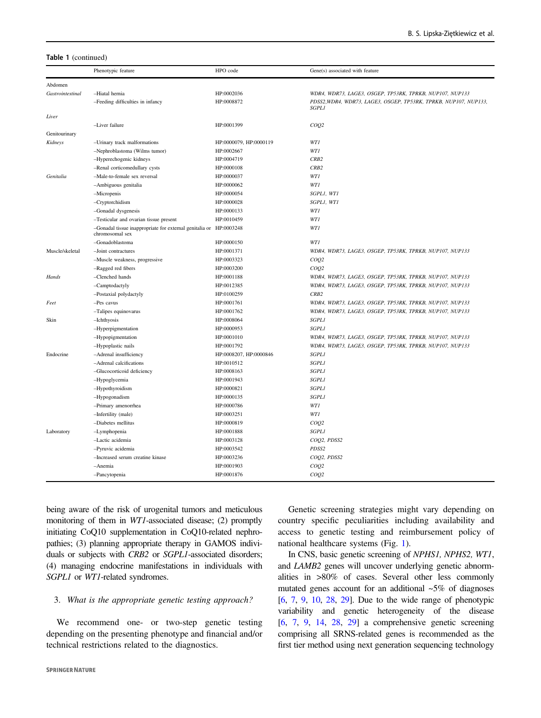#### Table 1 (continued)

|                  | Phenotypic feature                                                                    | HPO code               | Gene(s) associated with feature                                                  |
|------------------|---------------------------------------------------------------------------------------|------------------------|----------------------------------------------------------------------------------|
| Abdomen          |                                                                                       |                        |                                                                                  |
| Gastrointestinal | -Hiatal hernia                                                                        | HP:0002036             | WDR4, WDR73, LAGE3, OSGEP, TP53RK, TPRKB, NUP107, NUP133                         |
|                  | -Feeding difficulties in infancy                                                      | HP:0008872             | PDSS2, WDR4, WDR73, LAGE3, OSGEP, TP53RK, TPRKB, NUP107, NUP133,<br><b>SGPLI</b> |
| Liver            |                                                                                       |                        |                                                                                  |
|                  | -Liver failure                                                                        | HP:0001399             | COQ2                                                                             |
| Genitourinary    |                                                                                       |                        |                                                                                  |
| Kidneys          | -Urinary track malformations                                                          | HP:0000079, HP:0000119 | WTI                                                                              |
|                  | -Nephroblastoma (Wilms tumor)                                                         | HP:0002667             | WT1                                                                              |
|                  | -Hyperechogenic kidneys                                                               | HP:0004719             | CRB2                                                                             |
|                  | -Renal corticomedullary cysts                                                         | HP:0000108             | CRB2                                                                             |
| Genitalia        | -Male-to-female sex reversal                                                          | HP:0000037             | WT1                                                                              |
|                  | -Ambiguous genitalia                                                                  | HP:0000062             | WT1                                                                              |
|                  | -Micropenis                                                                           | HP:0000054             | SGPLI, WTI                                                                       |
|                  | $-Cryptorchidism$                                                                     | HP:0000028             | SGPLI, WTI                                                                       |
|                  | -Gonadal dysgenesis                                                                   | HP:0000133             | WT1                                                                              |
|                  | -Testicular and ovarian tissue present                                                | HP:0010459             | WT1                                                                              |
|                  | -Gonadal tissue inappropriate for external genitalia or HP:0003248<br>chromosomal sex |                        | WT1                                                                              |
|                  | -Gonadoblastoma                                                                       | HP:0000150             | WTI                                                                              |
| Muscle/skeletal  | -Joint contractures                                                                   | HP:0001371             | WDR4, WDR73, LAGE3, OSGEP, TP53RK, TPRKB, NUP107, NUP133                         |
|                  | -Muscle weakness, progressive                                                         | HP:0003323             | COQ2                                                                             |
|                  | -Ragged red fibers                                                                    | HP:0003200             | COQ2                                                                             |
| Hands            | -Clenched hands                                                                       | HP:0001188             | WDR4, WDR73, LAGE3, OSGEP, TP53RK, TPRKB, NUP107, NUP133                         |
|                  | -Camptodactyly                                                                        | HP:0012385             | WDR4, WDR73, LAGE3, OSGEP, TP53RK, TPRKB, NUP107, NUP133                         |
|                  | -Postaxial polydactyly                                                                | HP:0100259             | CRB2                                                                             |
| Feet             | -Pes cavus                                                                            | HP:0001761             | WDR4, WDR73, LAGE3, OSGEP, TP53RK, TPRKB, NUP107, NUP133                         |
|                  | -Talipes equinovarus                                                                  | HP:0001762             | WDR4, WDR73, LAGE3, OSGEP, TP53RK, TPRKB, NUP107, NUP133                         |
| Skin             | -Ichthyosis                                                                           | HP:0008064             | <b>SGPLI</b>                                                                     |
|                  | -Hyperpigmentation                                                                    | HP:0000953             | <b>SGPL1</b>                                                                     |
|                  | -Hypopigmentation                                                                     | HP:0001010             | WDR4, WDR73, LAGE3, OSGEP, TP53RK, TPRKB, NUP107, NUP133                         |
|                  | -Hypoplastic nails                                                                    | HP:0001792             | WDR4, WDR73, LAGE3, OSGEP, TP53RK, TPRKB, NUP107, NUP133                         |
| Endocrine        | -Adrenal insufficiency                                                                | HP:0008207, HP:0000846 | <b>SGPL1</b>                                                                     |
|                  | -Adrenal calcifications                                                               | HP:0010512             | <b>SGPL1</b>                                                                     |
|                  | -Glucocorticoid deficiency                                                            | HP:0008163             | <b>SGPLI</b>                                                                     |
|                  | -Hypoglycemia                                                                         | HP:0001943             | <b>SGPLI</b>                                                                     |
|                  | -Hypothyroidism                                                                       | HP:0000821             | <b>SGPLI</b>                                                                     |
|                  | -Hypogonadism                                                                         | HP:0000135             | <b>SGPLI</b>                                                                     |
|                  | -Primary amenorrhea                                                                   | HP:0000786             | WT1                                                                              |
|                  | -Infertility (male)                                                                   | HP:0003251             | WT1                                                                              |
|                  | -Diabetes mellitus                                                                    | HP:0000819             | COQ2                                                                             |
| Laboratory       | -Lymphopenia                                                                          | HP:0001888             | <b>SGPL1</b>                                                                     |
|                  | -Lactic acidemia                                                                      | HP:0003128             | COO2, PDSS2                                                                      |
|                  | -Pyruvic acidemia                                                                     | HP:0003542             | PDSS2                                                                            |
|                  | -Increased serum creatine kinase                                                      | HP:0003236             | COQ2, PDSS2                                                                      |
|                  | -Anemia                                                                               | HP:0001903             | COQ2                                                                             |
|                  | -Pancytopenia                                                                         | HP:0001876             | COQ2                                                                             |
|                  |                                                                                       |                        |                                                                                  |

being aware of the risk of urogenital tumors and meticulous monitoring of them in WT1-associated disease; (2) promptly initiating CoQ10 supplementation in CoQ10-related nephropathies; (3) planning appropriate therapy in GAMOS individuals or subjects with CRB2 or SGPL1-associated disorders; (4) managing endocrine manifestations in individuals with SGPL1 or WT1-related syndromes.

### 3. What is the appropriate genetic testing approach?

We recommend one- or two-step genetic testing depending on the presenting phenotype and financial and/or technical restrictions related to the diagnostics.

Genetic screening strategies might vary depending on country specific peculiarities including availability and access to genetic testing and reimbursement policy of national healthcare systems (Fig. [1\)](#page-4-0).

In CNS, basic genetic screening of NPHS1, NPHS2, WT1, and LAMB2 genes will uncover underlying genetic abnormalities in >80% of cases. Several other less commonly mutated genes account for an additional ~5% of diagnoses [\[6](#page-9-0), [7](#page-9-0), [9,](#page-9-0) [10,](#page-9-0) [28,](#page-9-0) [29\]](#page-9-0). Due to the wide range of phenotypic variability and genetic heterogeneity of the disease [\[6](#page-9-0), [7,](#page-9-0) [9,](#page-9-0) [14](#page-9-0), [28,](#page-9-0) [29\]](#page-9-0) a comprehensive genetic screening comprising all SRNS-related genes is recommended as the first tier method using next generation sequencing technology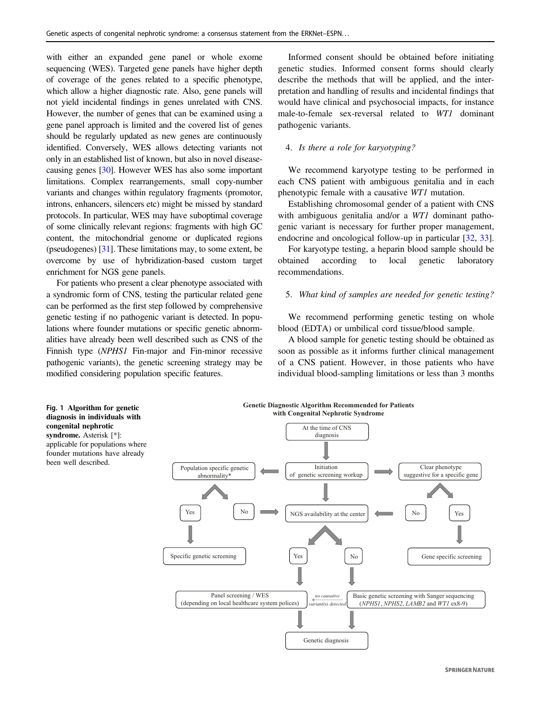<span id="page-4-0"></span>with either an expanded gene panel or whole exome sequencing (WES). Targeted gene panels have higher depth of coverage of the genes related to a specific phenotype, which allow a higher diagnostic rate. Also, gene panels will not yield incidental findings in genes unrelated with CNS. However, the number of genes that can be examined using a gene panel approach is limited and the covered list of genes should be regularly updated as new genes are continuously identified. Conversely, WES allows detecting variants not only in an established list of known, but also in novel diseasecausing genes [\[30\]](#page-9-0). However WES has also some important limitations. Complex rearrangements, small copy-number variants and changes within regulatory fragments (promotor, introns, enhancers, silencers etc) might be missed by standard protocols. In particular, WES may have suboptimal coverage of some clinically relevant regions: fragments with high GC content, the mitochondrial genome or duplicated regions (pseudogenes) [[31](#page-9-0)]. These limitations may, to some extent, be overcome by use of hybridization-based custom target enrichment for NGS gene panels.

For patients who present a clear phenotype associated with a syndromic form of CNS, testing the particular related gene can be performed as the first step followed by comprehensive genetic testing if no pathogenic variant is detected. In populations where founder mutations or specific genetic abnormalities have already been well described such as CNS of the Finnish type (NPHS1 Fin-major and Fin-minor recessive pathogenic variants), the genetic screening strategy may be modified considering population specific features.

Informed consent should be obtained before initiating genetic studies. Informed consent forms should clearly describe the methods that will be applied, and the interpretation and handling of results and incidental findings that would have clinical and psychosocial impacts, for instance male-to-female sex-reversal related to WT1 dominant pathogenic variants.

### 4. Is there a role for karyotyping?

We recommend karyotype testing to be performed in each CNS patient with ambiguous genitalia and in each phenotypic female with a causative WT1 mutation.

Establishing chromosomal gender of a patient with CNS with ambiguous genitalia and/or a WT1 dominant pathogenic variant is necessary for further proper management, endocrine and oncological follow-up in particular [[32,](#page-9-0) [33\]](#page-9-0).

For karyotype testing, a heparin blood sample should be obtained according to local genetic laboratory recommendations.

#### 5. What kind of samples are needed for genetic testing?

We recommend performing genetic testing on whole blood (EDTA) or umbilical cord tissue/blood sample.

A blood sample for genetic testing should be obtained as soon as possible as it informs further clinical management of a CNS patient. However, in those patients who have individual blood-sampling limitations or less than 3 months

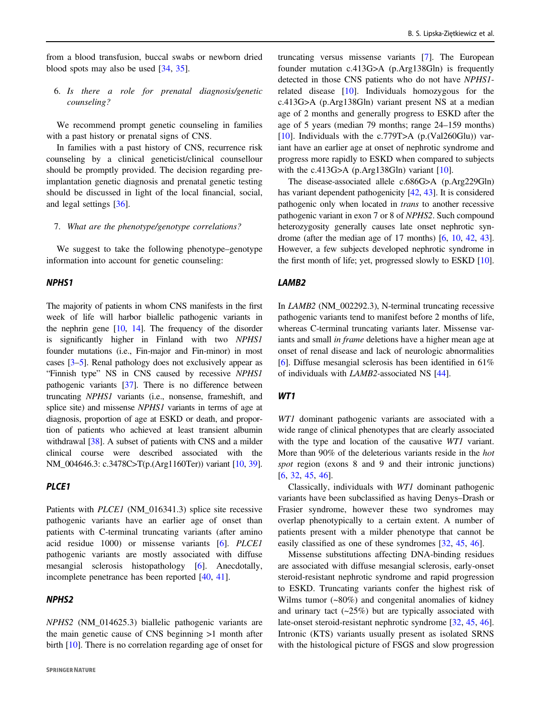from a blood transfusion, buccal swabs or newborn dried blood spots may also be used [[34,](#page-9-0) [35\]](#page-9-0).

6. Is there a role for prenatal diagnosis/genetic counseling?

We recommend prompt genetic counseling in families with a past history or prenatal signs of CNS.

In families with a past history of CNS, recurrence risk counseling by a clinical geneticist/clinical counsellour should be promptly provided. The decision regarding preimplantation genetic diagnosis and prenatal genetic testing should be discussed in light of the local financial, social, and legal settings [[36\]](#page-9-0).

7. What are the phenotype/genotype correlations?

We suggest to take the following phenotype–genotype information into account for genetic counseling:

### NPHS1

The majority of patients in whom CNS manifests in the first week of life will harbor biallelic pathogenic variants in the nephrin gene  $[10, 14]$  $[10, 14]$  $[10, 14]$ . The frequency of the disorder is significantly higher in Finland with two NPHS1 founder mutations (i.e., Fin-major and Fin-minor) in most cases [[3](#page-9-0)–[5](#page-9-0)]. Renal pathology does not exclusively appear as "Finnish type" NS in CNS caused by recessive NPHS1 pathogenic variants [\[37](#page-9-0)]. There is no difference between truncating NPHS1 variants (i.e., nonsense, frameshift, and splice site) and missense NPHS1 variants in terms of age at diagnosis, proportion of age at ESKD or death, and proportion of patients who achieved at least transient albumin withdrawal [\[38\]](#page-9-0). A subset of patients with CNS and a milder clinical course were described associated with the NM\_004646.3: c.3478C>T(p.(Arg1160Ter)) variant [\[10,](#page-9-0) [39\]](#page-10-0).

## PLCE1

Patients with *PLCE1* (NM\_016341.3) splice site recessive pathogenic variants have an earlier age of onset than patients with C-terminal truncating variants (after amino acid residue 1000) or missense variants [[6\]](#page-9-0). PLCE1 pathogenic variants are mostly associated with diffuse mesangial sclerosis histopathology [\[6](#page-9-0)]. Anecdotally, incomplete penetrance has been reported [\[40](#page-10-0), [41](#page-10-0)].

# NPHS2

NPHS2 (NM\_014625.3) biallelic pathogenic variants are the main genetic cause of CNS beginning >1 month after birth [[10](#page-9-0)]. There is no correlation regarding age of onset for

truncating versus missense variants [\[7](#page-9-0)]. The European founder mutation c.413G>A (p.Arg138Gln) is frequently detected in those CNS patients who do not have NPHS1 related disease [[10\]](#page-9-0). Individuals homozygous for the c.413G>A (p.Arg138Gln) variant present NS at a median age of 2 months and generally progress to ESKD after the age of 5 years (median 79 months; range 24–159 months) [\[10](#page-9-0)]. Individuals with the c.779T>A (p.(Val260Glu)) variant have an earlier age at onset of nephrotic syndrome and progress more rapidly to ESKD when compared to subjects with the c.413G>A (p.Arg138Gln) variant [[10\]](#page-9-0).

The disease-associated allele c.686G>A (p.Arg229Gln) has variant dependent pathogenicity [\[42,](#page-10-0) [43\]](#page-10-0). It is considered pathogenic only when located in trans to another recessive pathogenic variant in exon 7 or 8 of NPHS2. Such compound heterozygosity generally causes late onset nephrotic syndrome (after the median age of 17 months) [\[6](#page-9-0), [10](#page-9-0), [42,](#page-10-0) [43\]](#page-10-0). However, a few subjects developed nephrotic syndrome in the first month of life; yet, progressed slowly to ESKD [[10\]](#page-9-0).

## LAMB2

In LAMB2 (NM\_002292.3), N-terminal truncating recessive pathogenic variants tend to manifest before 2 months of life, whereas C-terminal truncating variants later. Missense variants and small in frame deletions have a higher mean age at onset of renal disease and lack of neurologic abnormalities [\[6](#page-9-0)]. Diffuse mesangial sclerosis has been identified in 61% of individuals with LAMB2-associated NS [\[44](#page-10-0)].

#### WT1

WT1 dominant pathogenic variants are associated with a wide range of clinical phenotypes that are clearly associated with the type and location of the causative WT1 variant. More than 90% of the deleterious variants reside in the hot spot region (exons 8 and 9 and their intronic junctions) [\[6](#page-9-0), [32,](#page-9-0) [45,](#page-10-0) [46](#page-10-0)].

Classically, individuals with WT1 dominant pathogenic variants have been subclassified as having Denys–Drash or Frasier syndrome, however these two syndromes may overlap phenotypically to a certain extent. A number of patients present with a milder phenotype that cannot be easily classified as one of these syndromes [\[32](#page-9-0), [45](#page-10-0), [46\]](#page-10-0).

Missense substitutions affecting DNA-binding residues are associated with diffuse mesangial sclerosis, early-onset steroid-resistant nephrotic syndrome and rapid progression to ESKD. Truncating variants confer the highest risk of Wilms tumor (~80%) and congenital anomalies of kidney and urinary tact  $(-25%)$  but are typically associated with late-onset steroid-resistant nephrotic syndrome [\[32](#page-9-0), [45](#page-10-0), [46\]](#page-10-0). Intronic (KTS) variants usually present as isolated SRNS with the histological picture of FSGS and slow progression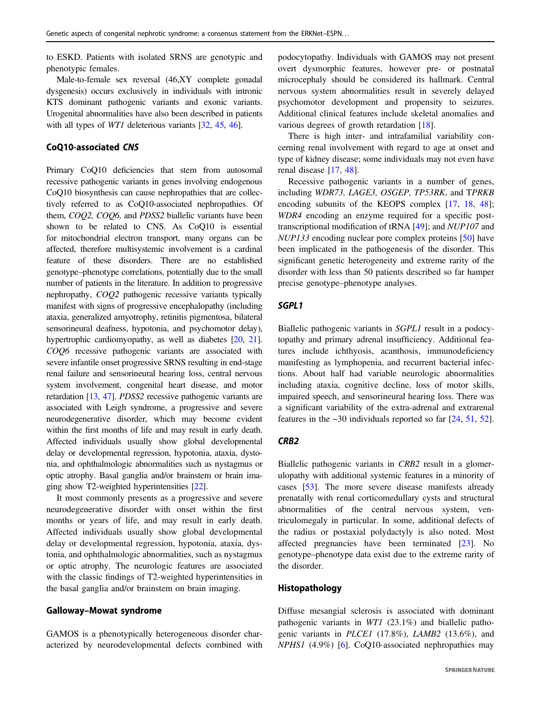to ESKD. Patients with isolated SRNS are genotypic and phenotypic females.

Male-to-female sex reversal (46,XY complete gonadal dysgenesis) occurs exclusively in individuals with intronic KTS dominant pathogenic variants and exonic variants. Urogenital abnormalities have also been described in patients with all types of *WT1* deleterious variants [[32](#page-9-0), [45,](#page-10-0) [46\]](#page-10-0).

# CoQ10-associated CNS

Primary CoQ10 deficiencies that stem from autosomal recessive pathogenic variants in genes involving endogenous CoQ10 biosynthesis can cause nephropathies that are collectively referred to as CoQ10-associated nephropathies. Of them, COQ2, COQ6, and PDSS2 biallelic variants have been shown to be related to CNS. As CoQ10 is essential for mitochondrial electron transport, many organs can be affected, therefore multisystemic involvement is a cardinal feature of these disorders. There are no established genotype–phenotype correlations, potentially due to the small number of patients in the literature. In addition to progressive nephropathy, COQ2 pathogenic recessive variants typically manifest with signs of progressive encephalopathy (including ataxia, generalized amyotrophy, retinitis pigmentosa, bilateral sensorineural deafness, hypotonia, and psychomotor delay), hypertrophic cardiomyopathy, as well as diabetes [\[20](#page-9-0), [21\]](#page-9-0). COQ6 recessive pathogenic variants are associated with severe infantile onset progressive SRNS resulting in end-stage renal failure and sensorineural hearing loss, central nervous system involvement, congenital heart disease, and motor retardation [\[13,](#page-9-0) [47\]](#page-10-0). PDSS2 recessive pathogenic variants are associated with Leigh syndrome, a progressive and severe neurodegenerative disorder, which may become evident within the first months of life and may result in early death. Affected individuals usually show global developmental delay or developmental regression, hypotonia, ataxia, dystonia, and ophthalmologic abnormalities such as nystagmus or optic atrophy. Basal ganglia and/or brainstem or brain imaging show T2-weighted hyperintensities [[22\]](#page-9-0).

It most commonly presents as a progressive and severe neurodegenerative disorder with onset within the first months or years of life, and may result in early death. Affected individuals usually show global developmental delay or developmental regression, hypotonia, ataxia, dystonia, and ophthalmologic abnormalities, such as nystagmus or optic atrophy. The neurologic features are associated with the classic findings of T2-weighted hyperintensities in the basal ganglia and/or brainstem on brain imaging.

### Galloway–Mowat syndrome

GAMOS is a phenotypically heterogeneous disorder characterized by neurodevelopmental defects combined with podocytopathy. Individuals with GAMOS may not present overt dysmorphic features, however pre- or postnatal microcephaly should be considered its hallmark. Central nervous system abnormalities result in severely delayed psychomotor development and propensity to seizures. Additional clinical features include skeletal anomalies and various degrees of growth retardation [\[18](#page-9-0)].

There is high inter- and intrafamilial variability concerning renal involvement with regard to age at onset and type of kidney disease; some individuals may not even have renal disease [\[17](#page-9-0), [48\]](#page-10-0).

Recessive pathogenic variants in a number of genes, including WDR73, LAGE3, OSGEP, TP53RK, and TPRKB encoding subunits of the KEOPS complex [[17,](#page-9-0) [18](#page-9-0), [48](#page-10-0)]; WDR4 encoding an enzyme required for a specific posttranscriptional modification of tRNA [[49\]](#page-10-0); and NUP107 and NUP133 encoding nuclear pore complex proteins [[50\]](#page-10-0) have been implicated in the pathogenesis of the disorder. This significant genetic heterogeneity and extreme rarity of the disorder with less than 50 patients described so far hamper precise genotype–phenotype analyses.

# SGPL1

Biallelic pathogenic variants in SGPL1 result in a podocytopathy and primary adrenal insufficiency. Additional features include ichthyosis, acanthosis, immunodeficiency manifesting as lymphopenia, and recurrent bacterial infections. About half had variable neurologic abnormalities including ataxia, cognitive decline, loss of motor skills, impaired speech, and sensorineural hearing loss. There was a significant variability of the extra-adrenal and extrarenal features in the  $\sim$ 30 individuals reported so far [\[24](#page-9-0), [51,](#page-10-0) [52\]](#page-10-0).

## CRB2

Biallelic pathogenic variants in CRB2 result in a glomerulopathy with additional systemic features in a minority of cases [\[53](#page-10-0)]. The more severe disease manifests already prenatally with renal corticomedullary cysts and structural abnormalities of the central nervous system, ventriculomegaly in particular. In some, additional defects of the radius or postaxial polydactyly is also noted. Most affected pregnancies have been terminated [\[23](#page-9-0)]. No genotype–phenotype data exist due to the extreme rarity of the disorder.

# Histopathology

Diffuse mesangial sclerosis is associated with dominant pathogenic variants in WT1 (23.1%) and biallelic pathogenic variants in PLCE1 (17.8%), LAMB2 (13.6%), and NPHS1 (4.9%) [\[6](#page-9-0)]. CoQ10-associated nephropathies may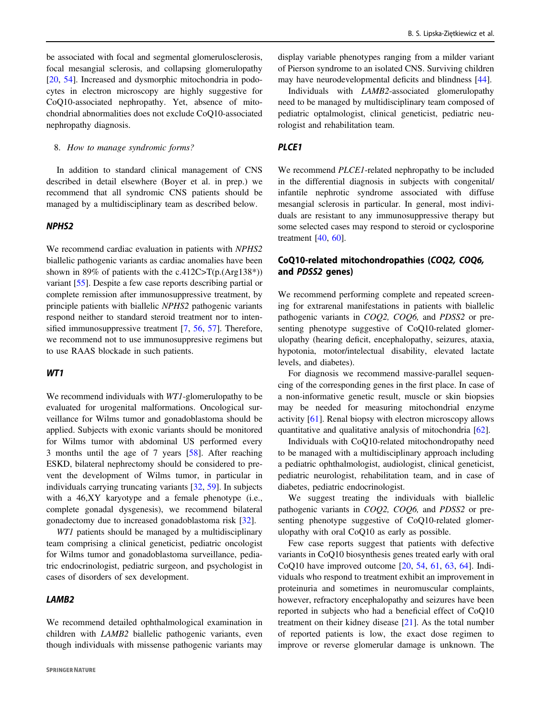be associated with focal and segmental glomerulosclerosis, focal mesangial sclerosis, and collapsing glomerulopathy [\[20](#page-9-0), [54](#page-10-0)]. Increased and dysmorphic mitochondria in podocytes in electron microscopy are highly suggestive for CoQ10-associated nephropathy. Yet, absence of mitochondrial abnormalities does not exclude CoQ10-associated nephropathy diagnosis.

#### 8. How to manage syndromic forms?

In addition to standard clinical management of CNS described in detail elsewhere (Boyer et al. in prep.) we recommend that all syndromic CNS patients should be managed by a multidisciplinary team as described below.

### NPHS2

We recommend cardiac evaluation in patients with NPHS2 biallelic pathogenic variants as cardiac anomalies have been shown in 89% of patients with the c.412C>T(p.(Arg138\*)) variant [\[55](#page-10-0)]. Despite a few case reports describing partial or complete remission after immunosuppressive treatment, by principle patients with biallelic NPHS2 pathogenic variants respond neither to standard steroid treatment nor to intensified immunosuppressive treatment [\[7](#page-9-0), [56,](#page-10-0) [57\]](#page-10-0). Therefore, we recommend not to use immunosuppresive regimens but to use RAAS blockade in such patients.

# WT1

We recommend individuals with WT1-glomerulopathy to be evaluated for urogenital malformations. Oncological surveillance for Wilms tumor and gonadoblastoma should be applied. Subjects with exonic variants should be monitored for Wilms tumor with abdominal US performed every 3 months until the age of 7 years [\[58](#page-10-0)]. After reaching ESKD, bilateral nephrectomy should be considered to prevent the development of Wilms tumor, in particular in individuals carrying truncating variants [[32,](#page-9-0) [59](#page-10-0)]. In subjects with a 46,XY karyotype and a female phenotype (i.e., complete gonadal dysgenesis), we recommend bilateral gonadectomy due to increased gonadoblastoma risk [[32\]](#page-9-0).

WT1 patients should be managed by a multidisciplinary team comprising a clinical geneticist, pediatric oncologist for Wilms tumor and gonadoblastoma surveillance, pediatric endocrinologist, pediatric surgeon, and psychologist in cases of disorders of sex development.

# LAMB2

We recommend detailed ophthalmological examination in children with LAMB2 biallelic pathogenic variants, even though individuals with missense pathogenic variants may

display variable phenotypes ranging from a milder variant of Pierson syndrome to an isolated CNS. Surviving children may have neurodevelopmental deficits and blindness [\[44](#page-10-0)].

Individuals with LAMB2-associated glomerulopathy need to be managed by multidisciplinary team composed of pediatric optalmologist, clinical geneticist, pediatric neurologist and rehabilitation team.

# PLCE1

We recommend *PLCE1*-related nephropathy to be included in the differential diagnosis in subjects with congenital/ infantile nephrotic syndrome associated with diffuse mesangial sclerosis in particular. In general, most individuals are resistant to any immunosuppressive therapy but some selected cases may respond to steroid or cyclosporine treatment  $[40, 60]$  $[40, 60]$  $[40, 60]$ .

# CoQ10-related mitochondropathies (COQ2, COQ6, and PDSS2 genes)

We recommend performing complete and repeated screening for extrarenal manifestations in patients with biallelic pathogenic variants in COQ2, COQ6, and PDSS2 or presenting phenotype suggestive of CoQ10-related glomerulopathy (hearing deficit, encephalopathy, seizures, ataxia, hypotonia, motor/intelectual disability, elevated lactate levels, and diabetes).

For diagnosis we recommend massive-parallel sequencing of the corresponding genes in the first place. In case of a non-informative genetic result, muscle or skin biopsies may be needed for measuring mitochondrial enzyme activity [[61\]](#page-10-0). Renal biopsy with electron microscopy allows quantitative and qualitative analysis of mitochondria [[62\]](#page-10-0).

Individuals with CoQ10-related mitochondropathy need to be managed with a multidisciplinary approach including a pediatric ophthalmologist, audiologist, clinical geneticist, pediatric neurologist, rehabilitation team, and in case of diabetes, pediatric endocrinologist.

We suggest treating the individuals with biallelic pathogenic variants in COQ2, COQ6, and PDSS2 or presenting phenotype suggestive of CoQ10-related glomerulopathy with oral CoQ10 as early as possible.

Few case reports suggest that patients with defective variants in CoQ10 biosynthesis genes treated early with oral CoQ10 have improved outcome [[20,](#page-9-0) [54](#page-10-0), [61](#page-10-0), [63](#page-10-0), [64](#page-10-0)]. Individuals who respond to treatment exhibit an improvement in proteinuria and sometimes in neuromuscular complaints, however, refractory encephalopathy and seizures have been reported in subjects who had a beneficial effect of CoQ10 treatment on their kidney disease [\[21](#page-9-0)]. As the total number of reported patients is low, the exact dose regimen to improve or reverse glomerular damage is unknown. The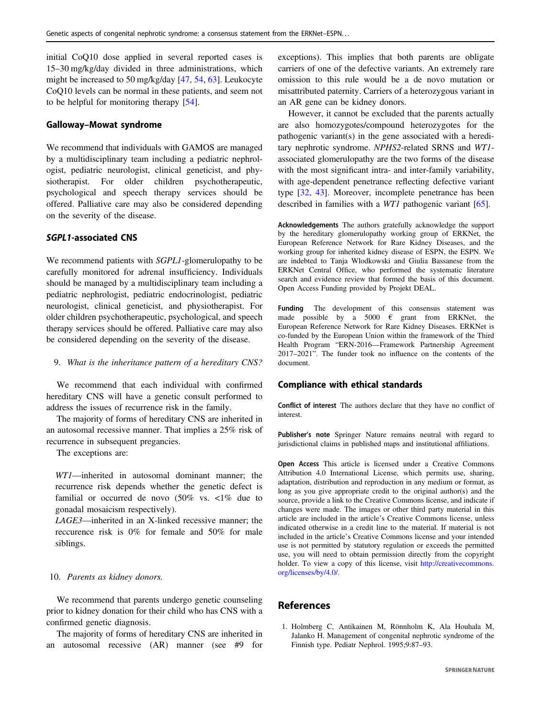<span id="page-8-0"></span>initial CoQ10 dose applied in several reported cases is 15–30 mg/kg/day divided in three administrations, which might be increased to 50 mg/kg/day [[47,](#page-10-0) [54,](#page-10-0) [63](#page-10-0)]. Leukocyte CoQ10 levels can be normal in these patients, and seem not to be helpful for monitoring therapy [\[54](#page-10-0)].

### Galloway–Mowat syndrome

We recommend that individuals with GAMOS are managed by a multidisciplinary team including a pediatric nephrologist, pediatric neurologist, clinical geneticist, and physiotherapist. For older children psychotherapeutic, psychological and speech therapy services should be offered. Palliative care may also be considered depending on the severity of the disease.

# SGPL1-associated CNS

We recommend patients with *SGPL1*-glomerulopathy to be carefully monitored for adrenal insufficiency. Individuals should be managed by a multidisciplinary team including a pediatric nephrologist, pediatric endocrinologist, pediatric neurologist, clinical geneticist, and physiotherapist. For older children psychotherapeutic, psychological, and speech therapy services should be offered. Palliative care may also be considered depending on the severity of the disease.

### 9. What is the inheritance pattern of a hereditary CNS?

We recommend that each individual with confirmed hereditary CNS will have a genetic consult performed to address the issues of recurrence risk in the family.

The majority of forms of hereditary CNS are inherited in an autosomal recessive manner. That implies a 25% risk of recurrence in subsequent pregancies.

The exceptions are:

WT1—inherited in autosomal dominant manner; the recurrence risk depends whether the genetic defect is familial or occurred de novo  $(50\% \text{ vs. } <1\% \text{ due to})$ gonadal mosaicism respectively).

LAGE3—inherited in an X-linked recessive manner; the reccurence risk is 0% for female and 50% for male siblings.

#### 10. Parents as kidney donors.

We recommend that parents undergo genetic counseling prior to kidney donation for their child who has CNS with a confirmed genetic diagnosis.

The majority of forms of hereditary CNS are inherited in an autosomal recessive (AR) manner (see #9 for

exceptions). This implies that both parents are obligate carriers of one of the defective variants. An extremely rare omission to this rule would be a de novo mutation or misattributed paternity. Carriers of a heterozygous variant in an AR gene can be kidney donors.

However, it cannot be excluded that the parents actually are also homozygotes/compound heterozygotes for the pathogenic variant(s) in the gene associated with a hereditary nephrotic syndrome. NPHS2-related SRNS and WT1 associated glomerulopathy are the two forms of the disease with the most significant intra- and inter-family variability, with age-dependent penetrance reflecting defective variant type [[32,](#page-9-0) [43](#page-10-0)]. Moreover, incomplete penetrance has been described in families with a WT1 pathogenic variant [[65\]](#page-10-0).

Acknowledgements The authors gratefully acknowledge the support by the hereditary glomerulopathy working group of ERKNet, the European Reference Network for Rare Kidney Diseases, and the working group for inherited kidney disease of ESPN, the ESPN. We are indebted to Tanja Wlodkowski and Giulia Bassanese from the ERKNet Central Office, who performed the systematic literature search and evidence review that formed the basis of this document. Open Access Funding provided by Projekt DEAL.

Funding The development of this consensus statement was made possible by a 5000  $\epsilon$  grant from ERKNet, the European Reference Network for Rare Kidney Diseases. ERKNet is co-funded by the European Union within the framework of the Third Health Program "ERN-2016—Framework Partnership Agreement 2017–2021". The funder took no influence on the contents of the document.

#### Compliance with ethical standards

Conflict of interest The authors declare that they have no conflict of interest.

Publisher's note Springer Nature remains neutral with regard to jurisdictional claims in published maps and institutional affiliations.

Open Access This article is licensed under a Creative Commons Attribution 4.0 International License, which permits use, sharing, adaptation, distribution and reproduction in any medium or format, as long as you give appropriate credit to the original author(s) and the source, provide a link to the Creative Commons license, and indicate if changes were made. The images or other third party material in this article are included in the article's Creative Commons license, unless indicated otherwise in a credit line to the material. If material is not included in the article's Creative Commons license and your intended use is not permitted by statutory regulation or exceeds the permitted use, you will need to obtain permission directly from the copyright holder. To view a copy of this license, visit [http://creativecommons.](http://creativecommons.org/licenses/by/4.0/) [org/licenses/by/4.0/](http://creativecommons.org/licenses/by/4.0/).

# References

1. Holmberg C, Antikainen M, Rönnholm K, Ala Houhala M, Jalanko H. Management of congenital nephrotic syndrome of the Finnish type. Pediatr Nephrol. 1995;9:87–93.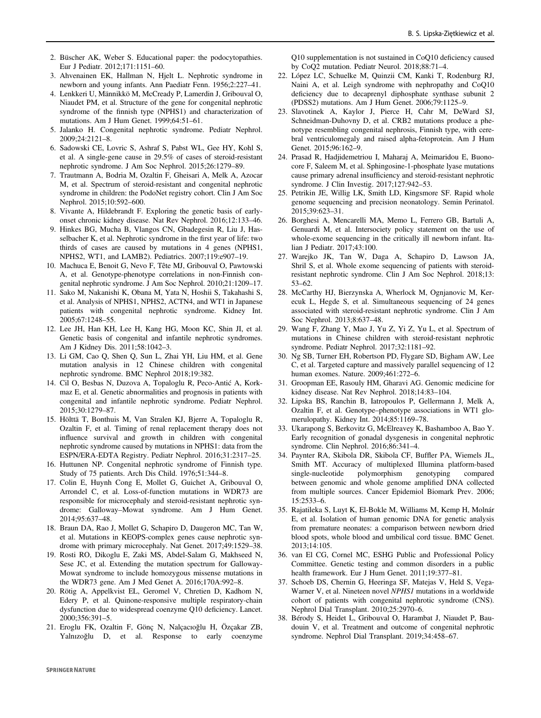- <span id="page-9-0"></span>2. Büscher AK, Weber S. Educational paper: the podocytopathies. Eur J Pediatr. 2012;171:1151–60.
- 3. Ahvenainen EK, Hallman N, Hjelt L. Nephrotic syndrome in newborn and young infants. Ann Paediatr Fenn. 1956;2:227–41.
- 4. Lenkkeri U, Männikkö M, McCready P, Lamerdin J, Gribouval O, Niaudet PM, et al. Structure of the gene for congenital nephrotic syndrome of the finnish type (NPHS1) and characterization of mutations. Am J Hum Genet. 1999;64:51–61.
- 5. Jalanko H. Congenital nephrotic syndrome. Pediatr Nephrol. 2009;24:2121–8.
- 6. Sadowski CE, Lovric S, Ashraf S, Pabst WL, Gee HY, Kohl S, et al. A single-gene cause in 29.5% of cases of steroid-resistant nephrotic syndrome. J Am Soc Nephrol. 2015;26:1279–89.
- 7. Trautmann A, Bodria M, Ozaltin F, Gheisari A, Melk A, Azocar M, et al. Spectrum of steroid-resistant and congenital nephrotic syndrome in children: the PodoNet registry cohort. Clin J Am Soc Nephrol. 2015;10:592–600.
- 8. Vivante A, Hildebrandt F. Exploring the genetic basis of earlyonset chronic kidney disease. Nat Rev Nephrol. 2016;12:133–46.
- 9. Hinkes BG, Mucha B, Vlangos CN, Gbadegesin R, Liu J, Hasselbacher K, et al. Nephrotic syndrome in the first year of life: two thirds of cases are caused by mutations in 4 genes (NPHS1, NPHS2, WT1, and LAMB2). Pediatrics. 2007;119:e907–19.
- 10. Machuca E, Benoit G, Nevo F, Tête MJ, Gribouval O, Pawtowski A, et al. Genotype-phenotype correlations in non-Finnish congenital nephrotic syndrome. J Am Soc Nephrol. 2010;21:1209–17.
- 11. Sako M, Nakanishi K, Obana M, Yata N, Hoshii S, Takahashi S, et al. Analysis of NPHS1, NPHS2, ACTN4, and WT1 in Japanese patients with congenital nephrotic syndrome. Kidney Int. 2005;67:1248–55.
- 12. Lee JH, Han KH, Lee H, Kang HG, Moon KC, Shin JI, et al. Genetic basis of congenital and infantile nephrotic syndromes. Am J Kidney Dis. 2011;58:1042–3.
- 13. Li GM, Cao Q, Shen Q, Sun L, Zhai YH, Liu HM, et al. Gene mutation analysis in 12 Chinese children with congenital nephrotic syndrome. BMC Nephrol 2018;19:382.
- 14. Cil O, Besbas N, Duzova A, Topaloglu R, Peco-Antić A, Korkmaz E, et al. Genetic abnormalities and prognosis in patients with congenital and infantile nephrotic syndrome. Pediatr Nephrol. 2015;30:1279–87.
- 15. Hölttä T, Bonthuis M, Van Stralen KJ, Bjerre A, Topaloglu R, Ozaltin F, et al. Timing of renal replacement therapy does not influence survival and growth in children with congenital nephrotic syndrome caused by mutations in NPHS1: data from the ESPN/ERA-EDTA Registry. Pediatr Nephrol. 2016;31:2317–25.
- 16. Huttunen NP. Congenital nephrotic syndrome of Finnish type. Study of 75 patients. Arch Dis Child. 1976;51:344–8.
- 17. Colin E, Huynh Cong E, Mollet G, Guichet A, Gribouval O, Arrondel C, et al. Loss-of-function mutations in WDR73 are responsible for microcephaly and steroid-resistant nephrotic syndrome: Galloway–Mowat syndrome. Am J Hum Genet. 2014;95:637–48.
- 18. Braun DA, Rao J, Mollet G, Schapiro D, Daugeron MC, Tan W, et al. Mutations in KEOPS-complex genes cause nephrotic syndrome with primary microcephaly. Nat Genet. 2017;49:1529–38.
- 19. Rosti RO, Dikoglu E, Zaki MS, Abdel-Salam G, Makhseed N, Sese JC, et al. Extending the mutation spectrum for Galloway-Mowat syndrome to include homozygous missense mutations in the WDR73 gene. Am J Med Genet A. 2016;170A:992–8.
- 20. Rötig A, Appelkvist EL, Geromel V, Chretien D, Kadhom N, Edery P, et al. Quinone-responsive multiple respiratory-chain dysfunction due to widespread coenzyme Q10 deficiency. Lancet. 2000;356:391–5.
- 21. Eroglu FK, Ozaltin F, Gönç N, Nalçacıoğlu H, Özçakar ZB, Yalnızoğlu D, et al. Response to early coenzyme

Q10 supplementation is not sustained in CoQ10 deficiency caused by CoQ2 mutation. Pediatr Neurol. 2018;88:71–4.

- 22. López LC, Schuelke M, Quinzii CM, Kanki T, Rodenburg RJ, Naini A, et al. Leigh syndrome with nephropathy and CoQ10 deficiency due to decaprenyl diphosphate synthase subunit 2 (PDSS2) mutations. Am J Hum Genet. 2006;79:1125–9.
- 23. Slavotinek A, Kaylor J, Pierce H, Cahr M, DeWard SJ, Schneidman-Duhovny D, et al. CRB2 mutations produce a phenotype resembling congenital nephrosis, Finnish type, with cerebral ventriculomegaly and raised alpha-fetoprotein. Am J Hum Genet. 2015;96:162–9.
- 24. Prasad R, Hadjidemetriou I, Maharaj A, Meimaridou E, Buonocore F, Saleem M, et al. Sphingosine-1-phosphate lyase mutations cause primary adrenal insufficiency and steroid-resistant nephrotic syndrome. J Clin Investig. 2017;127:942–53.
- 25. Petrikin JE, Willig LK, Smith LD, Kingsmore SF. Rapid whole genome sequencing and precision neonatology. Semin Perinatol. 2015;39:623–31.
- 26. Borghesi A, Mencarelli MA, Memo L, Ferrero GB, Bartuli A, Genuardi M, et al. Intersociety policy statement on the use of whole-exome sequencing in the critically ill newborn infant. Italian J Pediatr. 2017;43:100.
- 27. Warejko JK, Tan W, Daga A, Schapiro D, Lawson JA, Shril S, et al. Whole exome sequencing of patients with steroidresistant nephrotic syndrome. Clin J Am Soc Nephrol. 2018;13: 53–62.
- 28. McCarthy HJ, Bierzynska A, Wherlock M, Ognjanovic M, Kerecuk L, Hegde S, et al. Simultaneous sequencing of 24 genes associated with steroid-resistant nephrotic syndrome. Clin J Am Soc Nephrol. 2013;8:637–48.
- 29. Wang F, Zhang Y, Mao J, Yu Z, Yi Z, Yu L, et al. Spectrum of mutations in Chinese children with steroid-resistant nephrotic syndrome. Pediatr Nephrol. 2017;32:1181–92.
- 30. Ng SB, Turner EH, Robertson PD, Flygare SD, Bigham AW, Lee C, et al. Targeted capture and massively parallel sequencing of 12 human exomes. Nature. 2009;461:272–6.
- 31. Groopman EE, Rasouly HM, Gharavi AG. Genomic medicine for kidney disease. Nat Rev Nephrol. 2018;14:83–104.
- 32. Lipska BS, Ranchin B, Iatropoulos P, Gellermann J, Melk A, Ozaltin F, et al. Genotype–phenotype associations in WT1 glomerulopathy. Kidney Int. 2014;85:1169–78.
- 33. Ukarapong S, Berkovitz G, McElreavey K, Bashamboo A, Bao Y. Early recognition of gonadal dysgenesis in congenital nephrotic syndrome. Clin Nephrol. 2016;86:341–4.
- 34. Paynter RA, Skibola DR, Skibola CF, Buffler PA, Wiemels JL, Smith MT. Accuracy of multiplexed Illumina platform-based single-nucleotide polymorphism genotyping compared between genomic and whole genome amplified DNA collected from multiple sources. Cancer Epidemiol Biomark Prev. 2006; 15:2533–6.
- 35. Rajatileka S, Luyt K, El-Bokle M, Williams M, Kemp H, Molnár E, et al. Isolation of human genomic DNA for genetic analysis from premature neonates: a comparison between newborn dried blood spots, whole blood and umbilical cord tissue. BMC Genet. 2013;14:105.
- 36. van El CG, Cornel MC, ESHG Public and Professional Policy Committee. Genetic testing and common disorders in a public health framework. Eur J Hum Genet. 2011;19:377–81.
- 37. Schoeb DS, Chernin G, Heeringa SF, Matejas V, Held S, Vega-Warner V, et al. Nineteen novel NPHS1 mutations in a worldwide cohort of patients with congenital nephrotic syndrome (CNS). Nephrol Dial Transplant. 2010;25:2970–6.
- 38. Bérody S, Heidet L, Gribouval O, Harambat J, Niaudet P, Baudouin V, et al. Treatment and outcome of congenital nephrotic syndrome. Nephrol Dial Transplant. 2019;34:458–67.